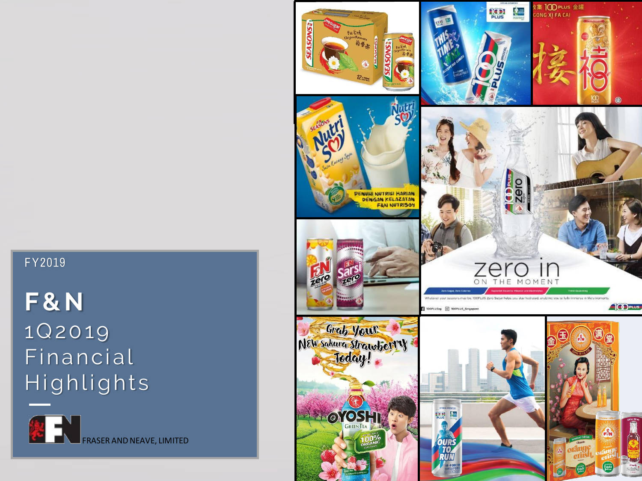#### FY2019

# **F & N** 1Q20 19 Financial Highlights



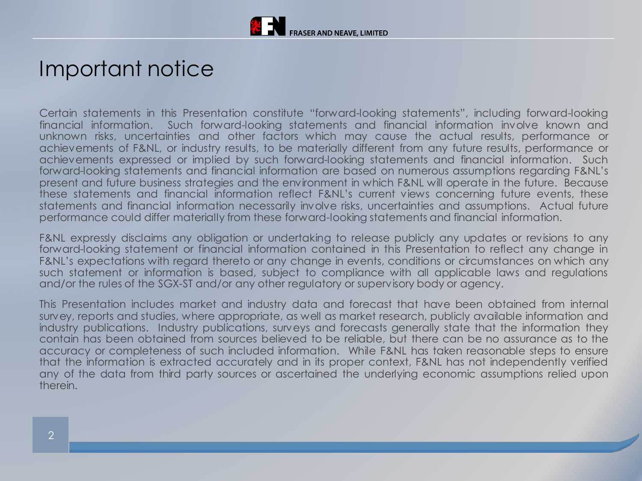

### Important notice

Certain statements in this Presentation constitute "forward-looking statements", including forward-looking financial information. Such forward-looking statements and financial information involve known and unknown risks, uncertainties and other factors which may cause the actual results, performance or achievements of F&NL, or industry results, to be materially different from any future results, performance or achievements expressed or implied by such forward-looking statements and financial information. Such forward-looking statements and financial information are based on numerous assumptions regarding F&NL's present and future business strategies and the environment in which F&NL will operate in the future. Because these statements and financial information reflect F&NL's current views concerning future events, these statements and financial information necessarily involve risks, uncertainties and assumptions. Actual future performance could differ materially from these forward-looking statements and financial information.

F&NL expressly disclaims any obligation or undertaking to release publicly any updates or revisions to any forward-looking statement or financial information contained in this Presentation to reflect any change in F&NL's expectations with regard thereto or any change in events, conditions or circumstances on which any such statement or information is based, subject to compliance with all applicable laws and regulations and/or the rules of the SGX-ST and/or any other regulatory or supervisory body or agency.

This Presentation includes market and industry data and forecast that have been obtained from internal survey, reports and studies, where appropriate, as well as market research, publicly available information and industry publications. Industry publications, surveys and forecasts generally state that the information they contain has been obtained from sources believed to be reliable, but there can be no assurance as to the accuracy or completeness of such included information. While F&NL has taken reasonable steps to ensure that the information is extracted accurately and in its proper context, F&NL has not independently verified any of the data from third party sources or ascertained the underlying economic assumptions relied upon therein.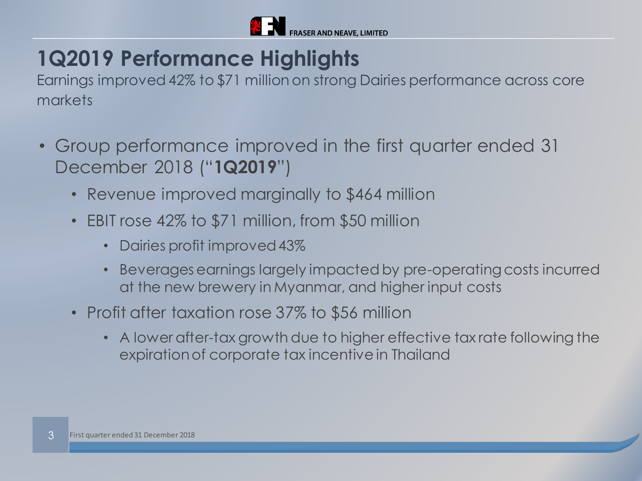

# **1Q2019 Performance Highlights**

Earnings improved 42% to \$71 million on strong Dairies performance across core markets

- Group performance improved in the first quarter ended 31 December 2018 ("**1Q2019**")
	- Revenue improved marginally to \$464 million
	- EBIT rose 42% to \$71 million, from \$50 million
		- Dairies profit improved 43%
		- Beverages earnings largely impacted by pre-operating costs incurred at the new brewery in Myanmar, and higher input costs
	- Profit after taxation rose 37% to \$56 million
		- A lower after-tax growth due to higher effective tax rate following the expiration of corporate tax incentive in Thailand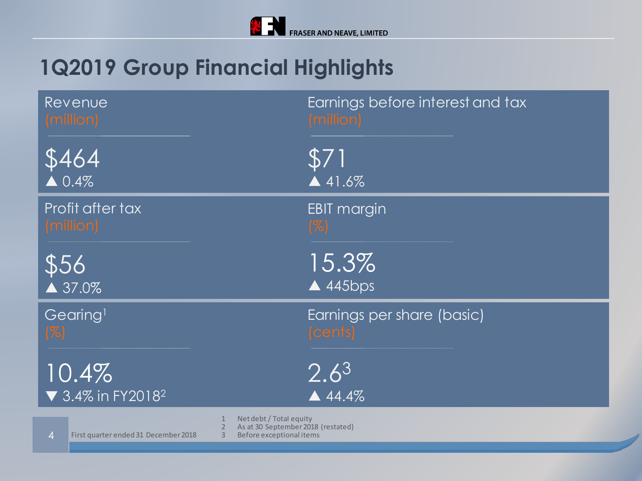# **1Q2019 Group Financial Highlights**

| Revenue                                                                                                                                                       | Earnings before interest and tax |
|---------------------------------------------------------------------------------------------------------------------------------------------------------------|----------------------------------|
| (million)                                                                                                                                                     | (million)                        |
| 3464                                                                                                                                                          | \$71                             |
| $\triangle 0.4\%$                                                                                                                                             | $\triangle$ 41.6%                |
| Profit after tax                                                                                                                                              | <b>EBIT margin</b>               |
| (million)                                                                                                                                                     | $\mathcal{C}$                    |
| \$56                                                                                                                                                          | 15.3%                            |
| $\triangle$ 37.0%                                                                                                                                             | $\triangle$ 445bps               |
| Gearing <sup>1</sup>                                                                                                                                          | Earnings per share (basic)       |
| $( \% )$                                                                                                                                                      | (cents)                          |
| 10.4%                                                                                                                                                         | $2.6^{3}$                        |
| ▼ 3.4% in FY2018 <sup>2</sup>                                                                                                                                 | $\triangle$ 44.4%                |
| Net debt / Total equity<br>As at 30 September 2018 (restated)<br>2<br>First quarter ended 31 December 2018<br>3<br>Before exceptional items<br>$\overline{4}$ |                                  |

4 First quarter ended 31 December 2018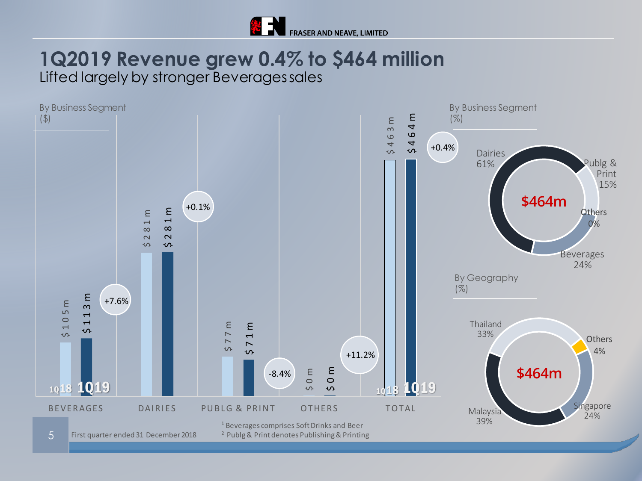

### **1Q2019 Revenue grew 0.4% to \$464 million** Lifted largely by stronger Beverages sales

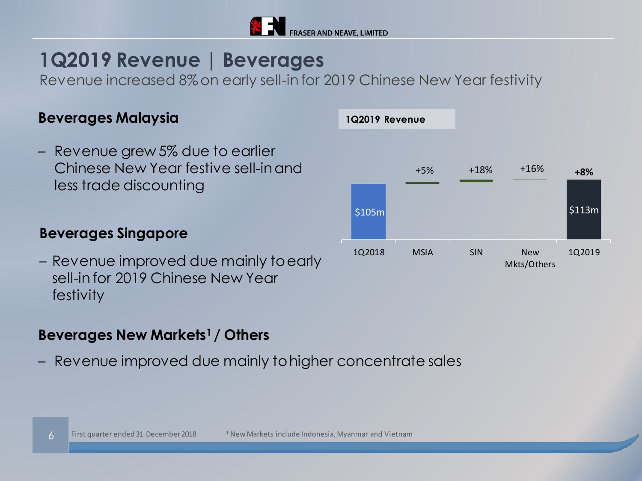

**1Q2019 Revenue**

### **1Q2019 Revenue | Beverages**

Revenue increased 8% on early sell-in for 2019 Chinese New Year festivity

#### **Beverages Malaysia**

– Revenue grew 5% due to earlier Chinese New Year festive sell-in and less trade discounting

### **Beverages Singapore**

– Revenue improved due mainly to early sell-in for 2019 Chinese New Year festivity

### **Beverages New Markets<sup>1</sup>/ Others**

– Revenue improved due mainly to higher concentrate sales



#### 6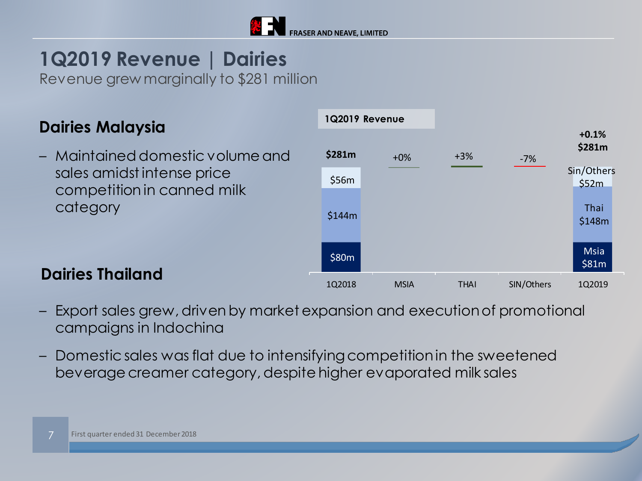

## **1Q2019 Revenue | Dairies**

Revenue grew marginally to \$281 million

### **Dairies Malaysia**

– Maintained domestic volume and sales amidst intense price competition in canned milk category



- **Dairies Thailand**
- Export sales grew, driven by market expansion and execution of promotional campaigns in Indochina
- Domestic sales was flat due to intensifying competition in the sweetened beverage creamer category, despite higher evaporated milk sales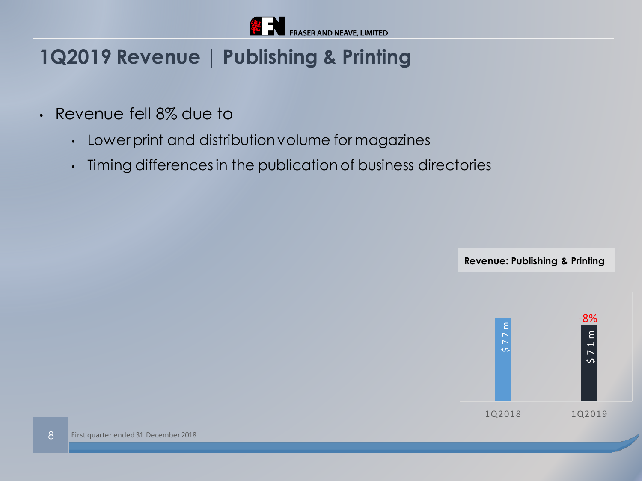

### **1Q2019 Revenue | Publishing & Printing**

- Revenue fell 8% due to
	- Lower print and distribution volume for magazines
	- Timing differences in the publication of business directories

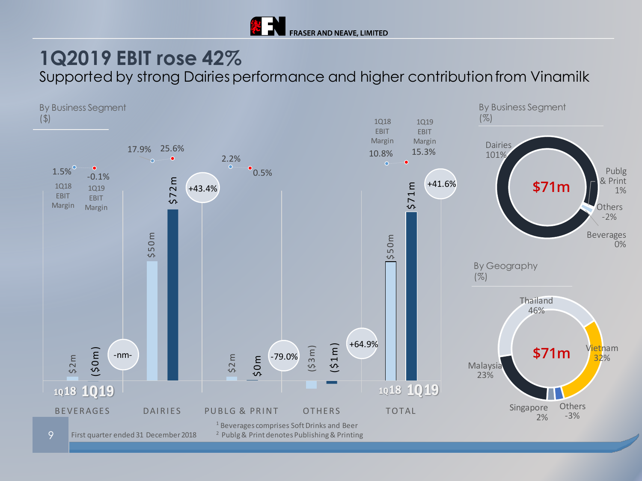

### **1Q2019 EBIT rose 42%**

Supported by strong Dairies performance and higher contribution from Vinamilk

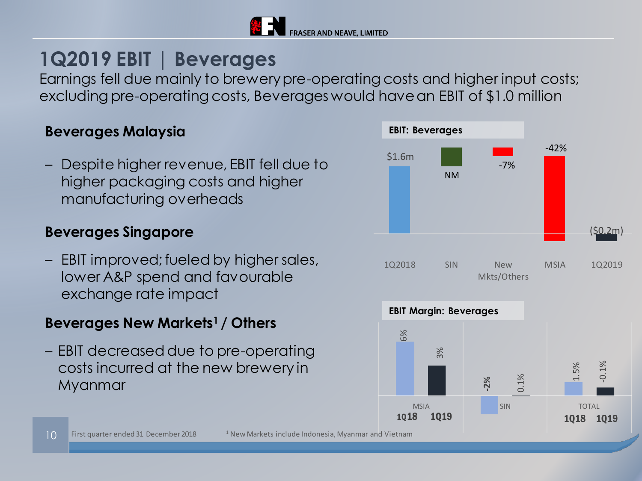

### **1Q2019 EBIT | Beverages**

Earnings fell due mainly to brewery pre-operating costs and higher input costs; excluding pre-operating costs, Beverages would have an EBIT of \$1.0 million

#### **Beverages Malaysia**

– Despite higher revenue, EBIT fell due to higher packaging costs and higher manufacturing overheads

#### **Beverages Singapore**

– EBIT improved; fueled by higher sales, lower A&P spend and favourable exchange rate impact

### **Beverages New Markets<sup>1</sup>/ Others**

– EBIT decreased due to pre-operating costs incurred at the new brewery in Myanmar

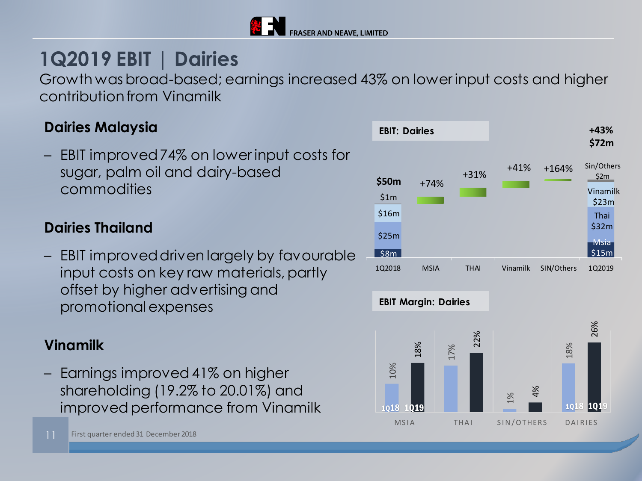

# **1Q2019 EBIT | Dairies**

Growth was broad-based; earnings increased 43% on lower input costs and higher contribution from Vinamilk

### **Dairies Malaysia**

– EBIT improved 74% on lower input costs for sugar, palm oil and dairy-based commodities

#### **Dairies Thailand**

– EBIT improved driven largely by favourable input costs on key raw materials, partly offset by higher advertising and promotional expenses

#### **Vinamilk**

– Earnings improved 41% on higher shareholding (19.2% to 20.01%) and improved performance from Vinamilk



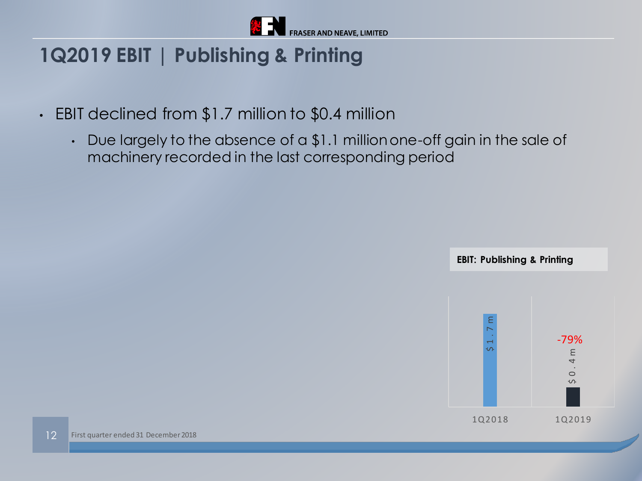

### **1Q2019 EBIT | Publishing & Printing**

- EBIT declined from \$1.7 million to \$0.4 million
	- Due largely to the absence of a \$1.1 million one-off gain in the sale of machinery recorded in the last corresponding period